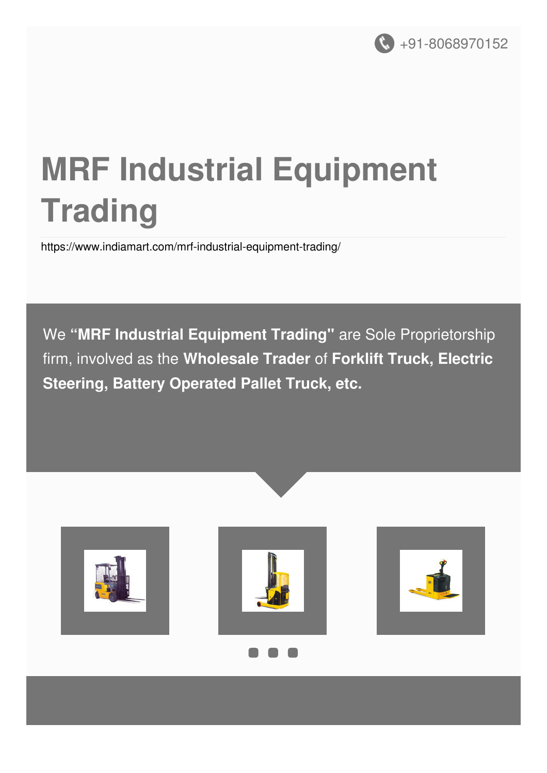

# **MRF Industrial Equipment Trading**

<https://www.indiamart.com/mrf-industrial-equipment-trading/>

We **"MRF Industrial Equipment Trading"** are Sole Proprietorship firm, involved as the **Wholesale Trader** of **Forklift Truck, Electric Steering, Battery Operated Pallet Truck, etc.**









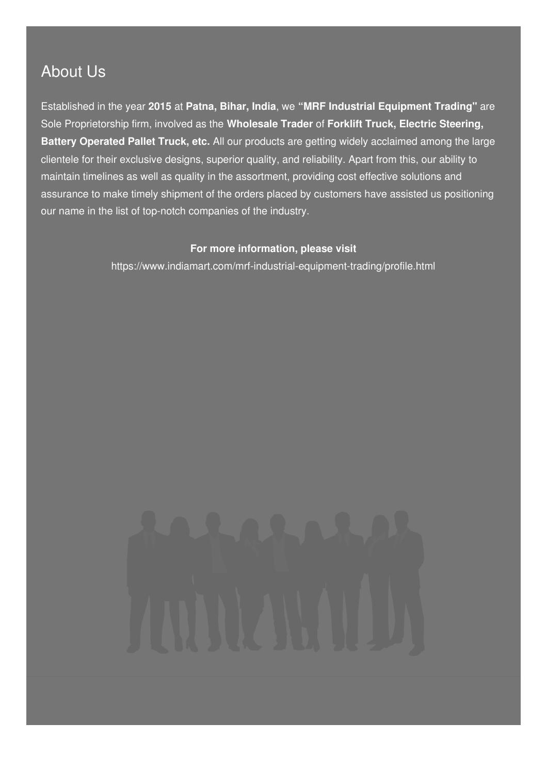### About Us

Established in the year **2015** at **Patna, Bihar, India**, we **"MRF Industrial Equipment Trading"** are Sole Proprietorship firm, involved as the **Wholesale Trader** of **Forklift Truck, Electric Steering, Battery Operated Pallet Truck, etc.** All our products are getting widely acclaimed among the large clientele for their exclusive designs, superior quality, and reliability. Apart from this, our ability to maintain timelines as well as quality in the assortment, providing cost effective solutions and assurance to make timely shipment of the orders placed by customers have assisted us positioning our name in the list of top-notch companies of the industry.

#### **For more information, please visit**

<https://www.indiamart.com/mrf-industrial-equipment-trading/profile.html>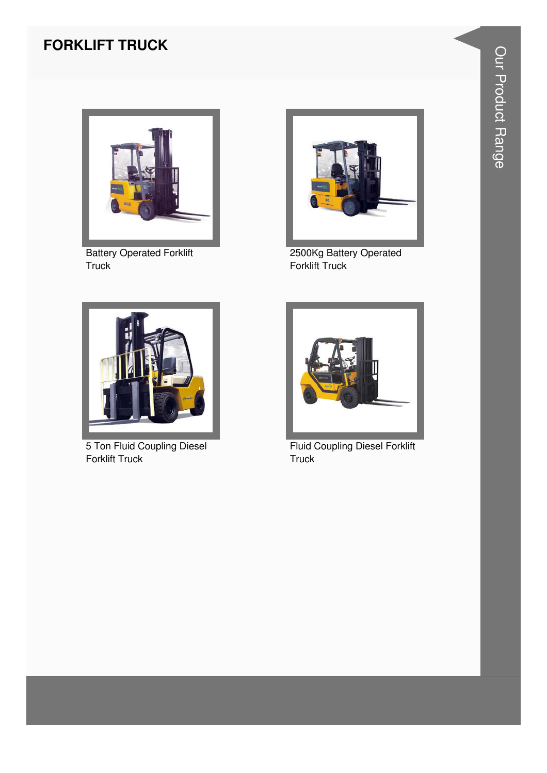#### **FORKLIFT TRUCK**



**Battery Operated Forklift Truck** 



2500Kg Battery Operated Forklift Truck



5 Ton Fluid Coupling Diesel Forklift Truck



Fluid Coupling Diesel Forklift Truck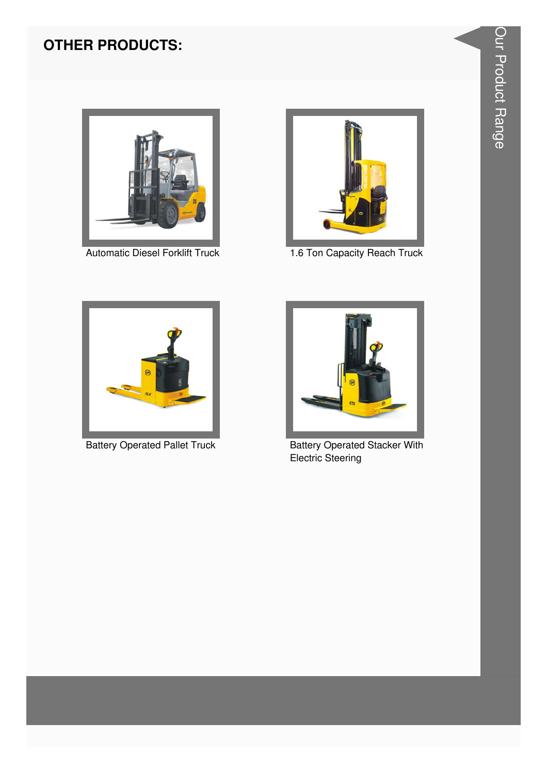#### **OTHER PRODUCTS:**



**Automatic Diesel Forklift Truck** 



1.6 Ton Capacity Reach Truck



**Battery Operated Pallet Truck** 



**Battery Operated Stacker With** Electric Steering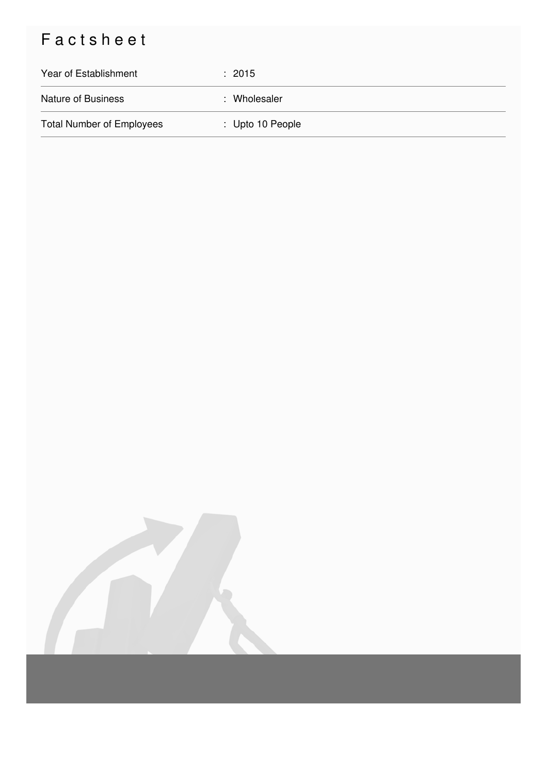## Factsheet

| Year of Establishment            | $\div$ 2015      |
|----------------------------------|------------------|
| <b>Nature of Business</b>        | : Wholesaler     |
| <b>Total Number of Employees</b> | : Upto 10 People |